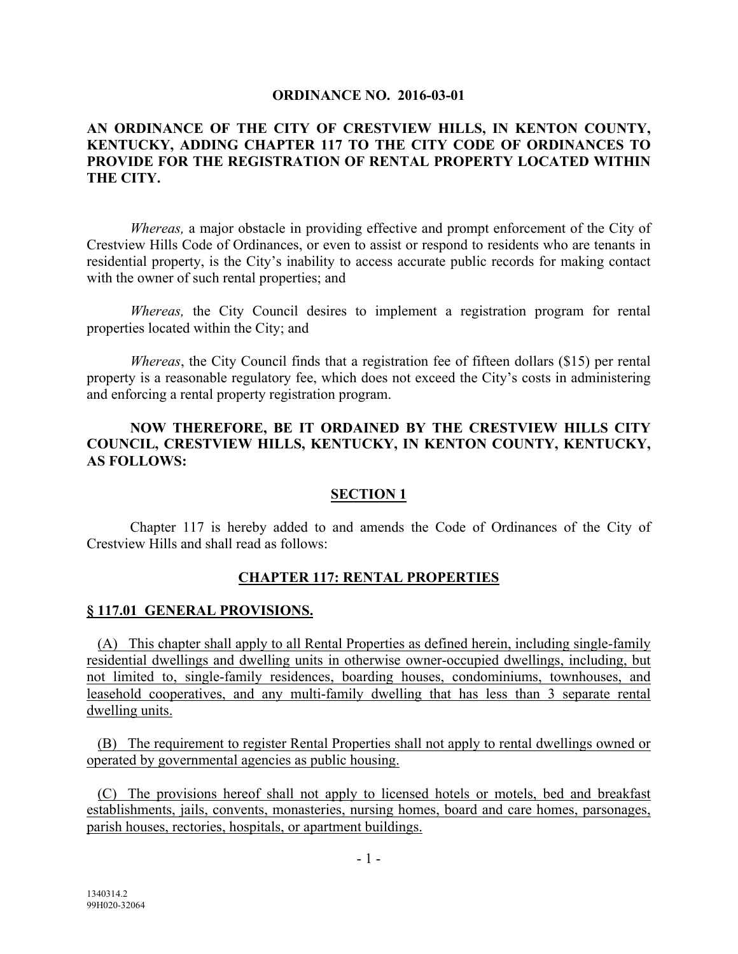#### **ORDINANCE NO. 2016-03-01**

### **AN ORDINANCE OF THE CITY OF CRESTVIEW HILLS, IN KENTON COUNTY, KENTUCKY, ADDING CHAPTER 117 TO THE CITY CODE OF ORDINANCES TO PROVIDE FOR THE REGISTRATION OF RENTAL PROPERTY LOCATED WITHIN THE CITY.**

*Whereas,* a major obstacle in providing effective and prompt enforcement of the City of Crestview Hills Code of Ordinances, or even to assist or respond to residents who are tenants in residential property, is the City's inability to access accurate public records for making contact with the owner of such rental properties; and

*Whereas,* the City Council desires to implement a registration program for rental properties located within the City; and

*Whereas*, the City Council finds that a registration fee of fifteen dollars (\$15) per rental property is a reasonable regulatory fee, which does not exceed the City's costs in administering and enforcing a rental property registration program.

### **NOW THEREFORE, BE IT ORDAINED BY THE CRESTVIEW HILLS CITY COUNCIL, CRESTVIEW HILLS, KENTUCKY, IN KENTON COUNTY, KENTUCKY, AS FOLLOWS:**

### **SECTION 1**

Chapter 117 is hereby added to and amends the Code of Ordinances of the City of Crestview Hills and shall read as follows:

### **CHAPTER 117: RENTAL PROPERTIES**

#### **§ 117.01 GENERAL PROVISIONS.**

 (A) This chapter shall apply to all Rental Properties as defined herein, including single-family residential dwellings and dwelling units in otherwise owner-occupied dwellings, including, but not limited to, single-family residences, boarding houses, condominiums, townhouses, and leasehold cooperatives, and any multi-family dwelling that has less than 3 separate rental dwelling units.

 (B) The requirement to register Rental Properties shall not apply to rental dwellings owned or operated by governmental agencies as public housing.

 (C) The provisions hereof shall not apply to licensed hotels or motels, bed and breakfast establishments, jails, convents, monasteries, nursing homes, board and care homes, parsonages, parish houses, rectories, hospitals, or apartment buildings.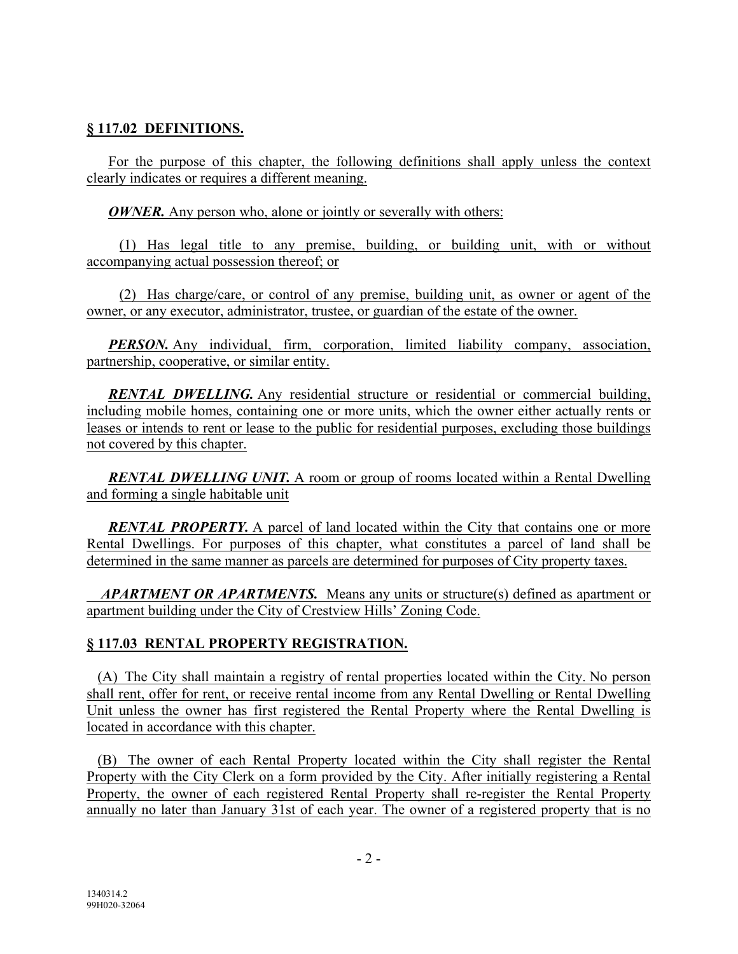## **§ 117.02 DEFINITIONS.**

 For the purpose of this chapter, the following definitions shall apply unless the context clearly indicates or requires a different meaning.

*OWNER*. Any person who, alone or jointly or severally with others:

 (1) Has legal title to any premise, building, or building unit, with or without accompanying actual possession thereof; or

 (2) Has charge/care, or control of any premise, building unit, as owner or agent of the owner, or any executor, administrator, trustee, or guardian of the estate of the owner.

*PERSON.* Any individual, firm, corporation, limited liability company, association, partnership, cooperative, or similar entity.

**RENTAL DWELLING.** Any residential structure or residential or commercial building, including mobile homes, containing one or more units, which the owner either actually rents or leases or intends to rent or lease to the public for residential purposes, excluding those buildings not covered by this chapter.

*RENTAL DWELLING UNIT.* A room or group of rooms located within a Rental Dwelling and forming a single habitable unit

**RENTAL PROPERTY.** A parcel of land located within the City that contains one or more Rental Dwellings. For purposes of this chapter, what constitutes a parcel of land shall be determined in the same manner as parcels are determined for purposes of City property taxes.

 *APARTMENT OR APARTMENTS.* Means any units or structure(s) defined as apartment or apartment building under the City of Crestview Hills' Zoning Code.

# **§ 117.03 RENTAL PROPERTY REGISTRATION.**

 (A) The City shall maintain a registry of rental properties located within the City. No person shall rent, offer for rent, or receive rental income from any Rental Dwelling or Rental Dwelling Unit unless the owner has first registered the Rental Property where the Rental Dwelling is located in accordance with this chapter.

 (B) The owner of each Rental Property located within the City shall register the Rental Property with the City Clerk on a form provided by the City. After initially registering a Rental Property, the owner of each registered Rental Property shall re-register the Rental Property annually no later than January 31st of each year. The owner of a registered property that is no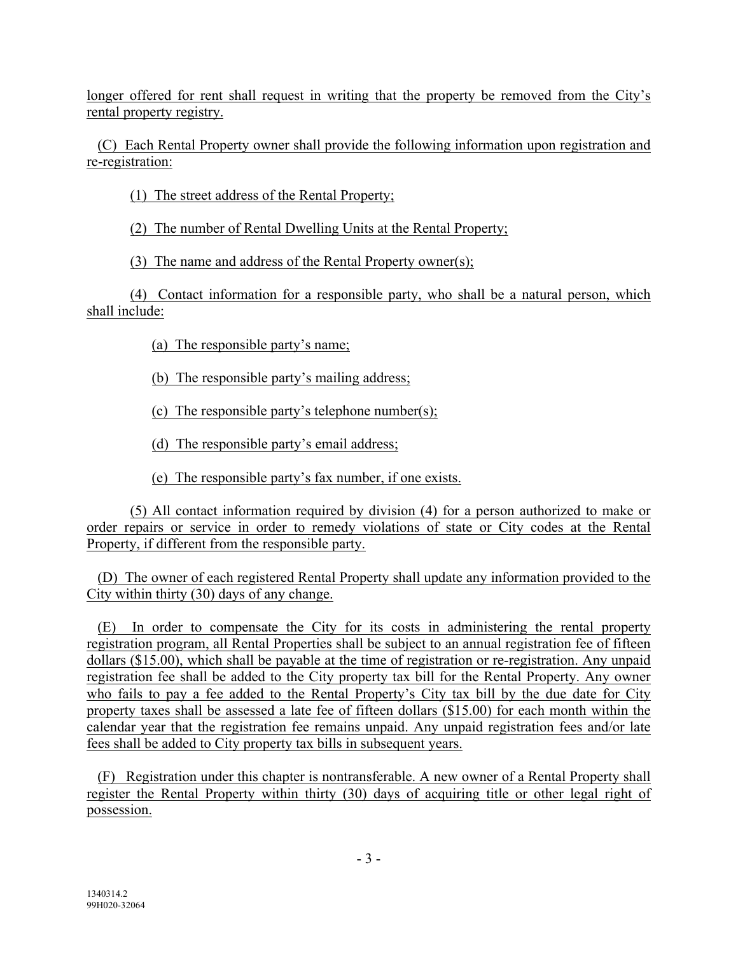longer offered for rent shall request in writing that the property be removed from the City's rental property registry.

(C) Each Rental Property owner shall provide the following information upon registration and re-registration:

(1) The street address of the Rental Property;

(2) The number of Rental Dwelling Units at the Rental Property;

(3) The name and address of the Rental Property owner(s);

(4) Contact information for a responsible party, who shall be a natural person, which shall include:

(a) The responsible party's name;

(b) The responsible party's mailing address;

(c) The responsible party's telephone number(s);

(d) The responsible party's email address;

(e) The responsible party's fax number, if one exists.

(5) All contact information required by division (4) for a person authorized to make or order repairs or service in order to remedy violations of state or City codes at the Rental Property, if different from the responsible party.

(D) The owner of each registered Rental Property shall update any information provided to the City within thirty (30) days of any change.

(E) In order to compensate the City for its costs in administering the rental property registration program, all Rental Properties shall be subject to an annual registration fee of fifteen dollars (\$15.00), which shall be payable at the time of registration or re-registration. Any unpaid registration fee shall be added to the City property tax bill for the Rental Property. Any owner who fails to pay a fee added to the Rental Property's City tax bill by the due date for City property taxes shall be assessed a late fee of fifteen dollars (\$15.00) for each month within the calendar year that the registration fee remains unpaid. Any unpaid registration fees and/or late fees shall be added to City property tax bills in subsequent years.

 (F) Registration under this chapter is nontransferable. A new owner of a Rental Property shall register the Rental Property within thirty (30) days of acquiring title or other legal right of possession.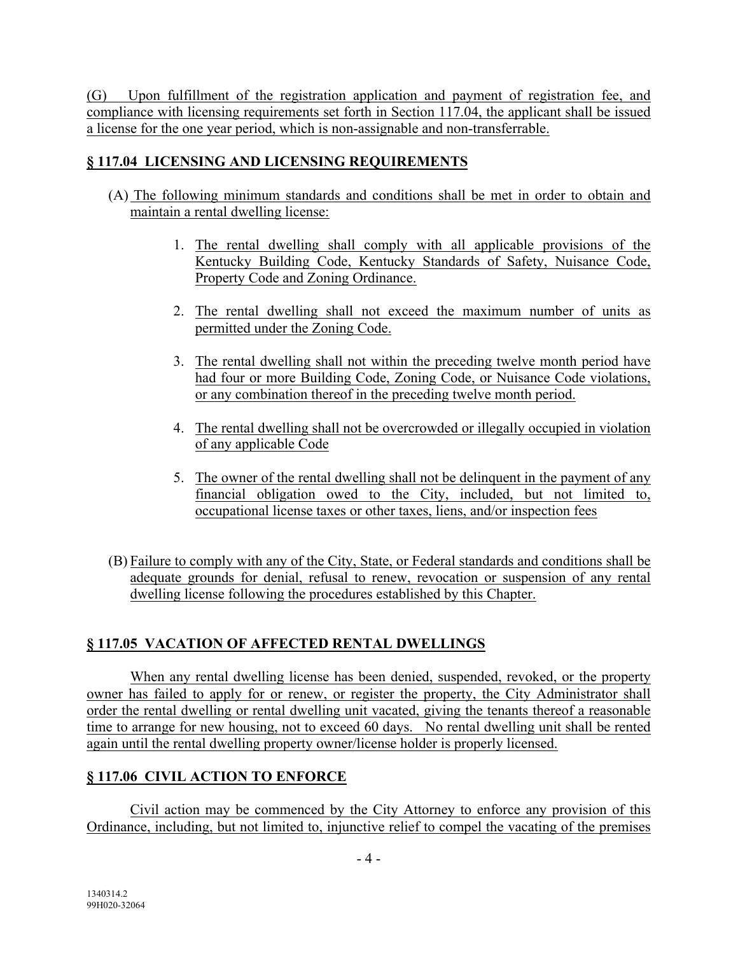(G) Upon fulfillment of the registration application and payment of registration fee, and compliance with licensing requirements set forth in Section 117.04, the applicant shall be issued a license for the one year period, which is non-assignable and non-transferrable.

# **§ 117.04 LICENSING AND LICENSING REQUIREMENTS**

- (A) The following minimum standards and conditions shall be met in order to obtain and maintain a rental dwelling license:
	- 1. The rental dwelling shall comply with all applicable provisions of the Kentucky Building Code, Kentucky Standards of Safety, Nuisance Code, Property Code and Zoning Ordinance.
	- 2. The rental dwelling shall not exceed the maximum number of units as permitted under the Zoning Code.
	- 3. The rental dwelling shall not within the preceding twelve month period have had four or more Building Code, Zoning Code, or Nuisance Code violations, or any combination thereof in the preceding twelve month period.
	- 4. The rental dwelling shall not be overcrowded or illegally occupied in violation of any applicable Code
	- 5. The owner of the rental dwelling shall not be delinquent in the payment of any financial obligation owed to the City, included, but not limited to, occupational license taxes or other taxes, liens, and/or inspection fees
- (B) Failure to comply with any of the City, State, or Federal standards and conditions shall be adequate grounds for denial, refusal to renew, revocation or suspension of any rental dwelling license following the procedures established by this Chapter.

# **§ 117.05 VACATION OF AFFECTED RENTAL DWELLINGS**

When any rental dwelling license has been denied, suspended, revoked, or the property owner has failed to apply for or renew, or register the property, the City Administrator shall order the rental dwelling or rental dwelling unit vacated, giving the tenants thereof a reasonable time to arrange for new housing, not to exceed 60 days. No rental dwelling unit shall be rented again until the rental dwelling property owner/license holder is properly licensed.

# **§ 117.06 CIVIL ACTION TO ENFORCE**

Civil action may be commenced by the City Attorney to enforce any provision of this Ordinance, including, but not limited to, injunctive relief to compel the vacating of the premises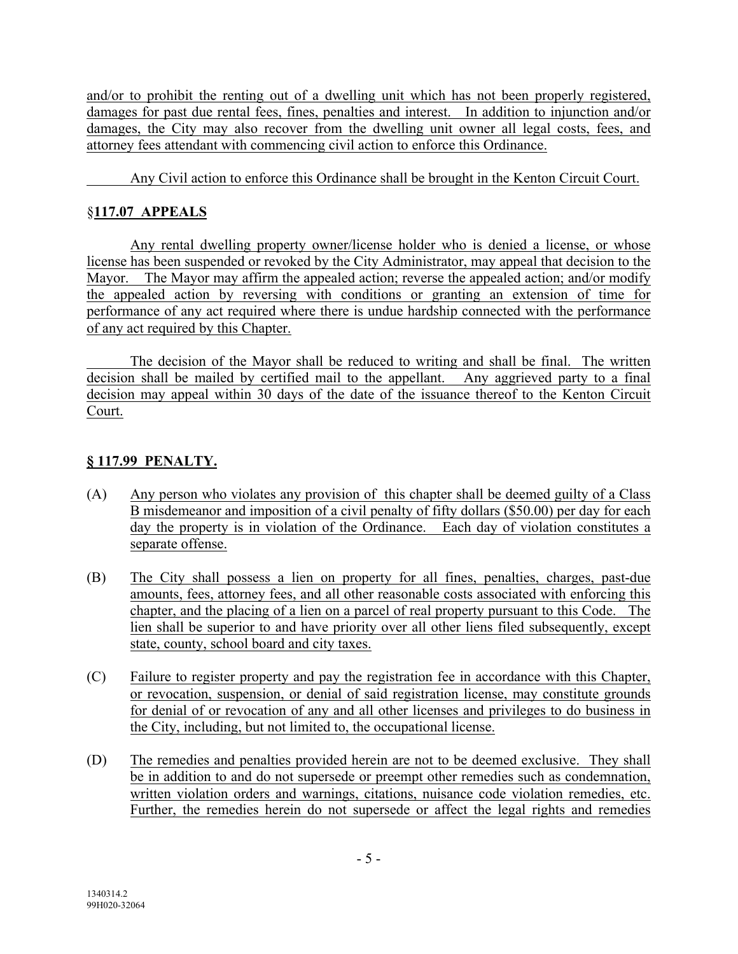and/or to prohibit the renting out of a dwelling unit which has not been properly registered, damages for past due rental fees, fines, penalties and interest. In addition to injunction and/or damages, the City may also recover from the dwelling unit owner all legal costs, fees, and attorney fees attendant with commencing civil action to enforce this Ordinance.

Any Civil action to enforce this Ordinance shall be brought in the Kenton Circuit Court.

# §**117.07 APPEALS**

Any rental dwelling property owner/license holder who is denied a license, or whose license has been suspended or revoked by the City Administrator, may appeal that decision to the Mayor. The Mayor may affirm the appealed action; reverse the appealed action; and/or modify the appealed action by reversing with conditions or granting an extension of time for performance of any act required where there is undue hardship connected with the performance of any act required by this Chapter.

The decision of the Mayor shall be reduced to writing and shall be final. The written decision shall be mailed by certified mail to the appellant. Any aggrieved party to a final decision may appeal within 30 days of the date of the issuance thereof to the Kenton Circuit Court.

# **§ 117.99 PENALTY.**

- (A) Any person who violates any provision of this chapter shall be deemed guilty of a Class B misdemeanor and imposition of a civil penalty of fifty dollars (\$50.00) per day for each day the property is in violation of the Ordinance. Each day of violation constitutes a separate offense.
- (B) The City shall possess a lien on property for all fines, penalties, charges, past-due amounts, fees, attorney fees, and all other reasonable costs associated with enforcing this chapter, and the placing of a lien on a parcel of real property pursuant to this Code. The lien shall be superior to and have priority over all other liens filed subsequently, except state, county, school board and city taxes.
- (C) Failure to register property and pay the registration fee in accordance with this Chapter, or revocation, suspension, or denial of said registration license, may constitute grounds for denial of or revocation of any and all other licenses and privileges to do business in the City, including, but not limited to, the occupational license.
- (D) The remedies and penalties provided herein are not to be deemed exclusive. They shall be in addition to and do not supersede or preempt other remedies such as condemnation, written violation orders and warnings, citations, nuisance code violation remedies, etc. Further, the remedies herein do not supersede or affect the legal rights and remedies